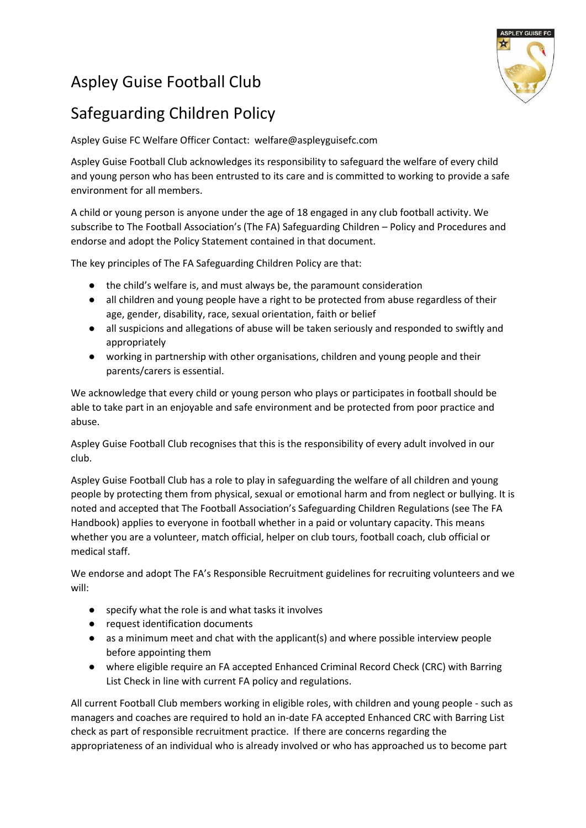## Aspley Guise Football Club



## Safeguarding Children Policy

Aspley Guise FC Welfare Officer Contact: welfare@aspleyguisefc.com

Aspley Guise Football Club acknowledges its responsibility to safeguard the welfare of every child and young person who has been entrusted to its care and is committed to working to provide a safe environment for all members.

A child or young person is anyone under the age of 18 engaged in any club football activity. We subscribe to The Football Association's (The FA) Safeguarding Children – Policy and Procedures and endorse and adopt the Policy Statement contained in that document.

The key principles of The FA Safeguarding Children Policy are that:

- the child's welfare is, and must always be, the paramount consideration
- all children and young people have a right to be protected from abuse regardless of their age, gender, disability, race, sexual orientation, faith or belief
- all suspicions and allegations of abuse will be taken seriously and responded to swiftly and appropriately
- working in partnership with other organisations, children and young people and their parents/carers is essential.

We acknowledge that every child or young person who plays or participates in football should be able to take part in an enjoyable and safe environment and be protected from poor practice and abuse.

Aspley Guise Football Club recognises that this is the responsibility of every adult involved in our club.

Aspley Guise Football Club has a role to play in safeguarding the welfare of all children and young people by protecting them from physical, sexual or emotional harm and from neglect or bullying. It is noted and accepted that The Football Association's Safeguarding Children Regulations (see The FA Handbook) applies to everyone in football whether in a paid or voluntary capacity. This means whether you are a volunteer, match official, helper on club tours, football coach, club official or medical staff.

We endorse and adopt The FA's Responsible Recruitment guidelines for recruiting volunteers and we will:

- specify what the role is and what tasks it involves
- request identification documents
- as a minimum meet and chat with the applicant(s) and where possible interview people before appointing them
- where eligible require an FA accepted Enhanced Criminal Record Check (CRC) with Barring List Check in line with current FA policy and regulations.

All current Football Club members working in eligible roles, with children and young people - such as managers and coaches are required to hold an in-date FA accepted Enhanced CRC with Barring List check as part of responsible recruitment practice. If there are concerns regarding the appropriateness of an individual who is already involved or who has approached us to become part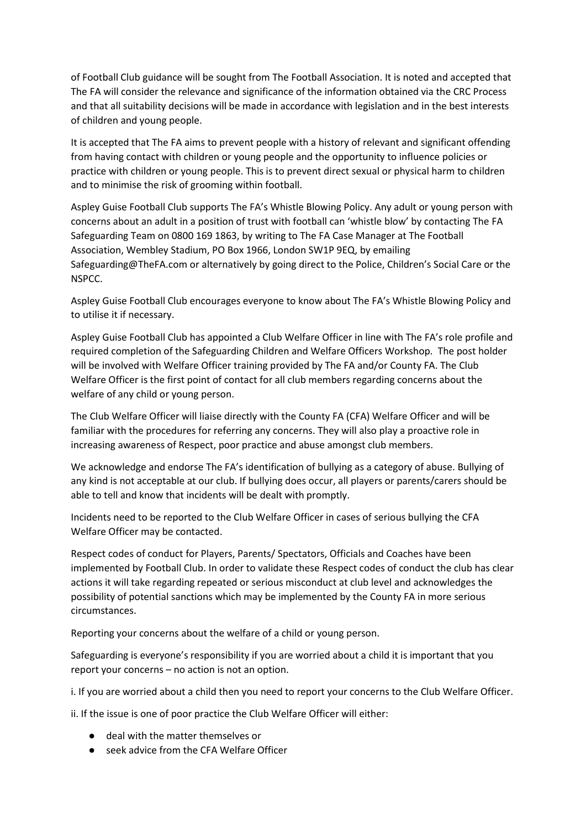of Football Club guidance will be sought from The Football Association. It is noted and accepted that The FA will consider the relevance and significance of the information obtained via the CRC Process and that all suitability decisions will be made in accordance with legislation and in the best interests of children and young people.

It is accepted that The FA aims to prevent people with a history of relevant and significant offending from having contact with children or young people and the opportunity to influence policies or practice with children or young people. This is to prevent direct sexual or physical harm to children and to minimise the risk of grooming within football.

Aspley Guise Football Club supports The FA's Whistle Blowing Policy. Any adult or young person with concerns about an adult in a position of trust with football can 'whistle blow' by contacting The FA Safeguarding Team on 0800 169 1863, by writing to The FA Case Manager at The Football Association, Wembley Stadium, PO Box 1966, London SW1P 9EQ, by emailing Safeguarding@TheFA.com or alternatively by going direct to the Police, Children's Social Care or the NSPCC.

Aspley Guise Football Club encourages everyone to know about The FA's Whistle Blowing Policy and to utilise it if necessary.

Aspley Guise Football Club has appointed a Club Welfare Officer in line with The FA's role profile and required completion of the Safeguarding Children and Welfare Officers Workshop. The post holder will be involved with Welfare Officer training provided by The FA and/or County FA. The Club Welfare Officer is the first point of contact for all club members regarding concerns about the welfare of any child or young person.

The Club Welfare Officer will liaise directly with the County FA (CFA) Welfare Officer and will be familiar with the procedures for referring any concerns. They will also play a proactive role in increasing awareness of Respect, poor practice and abuse amongst club members.

We acknowledge and endorse The FA's identification of bullying as a category of abuse. Bullying of any kind is not acceptable at our club. If bullying does occur, all players or parents/carers should be able to tell and know that incidents will be dealt with promptly.

Incidents need to be reported to the Club Welfare Officer in cases of serious bullying the CFA Welfare Officer may be contacted.

Respect codes of conduct for Players, Parents/ Spectators, Officials and Coaches have been implemented by Football Club. In order to validate these Respect codes of conduct the club has clear actions it will take regarding repeated or serious misconduct at club level and acknowledges the possibility of potential sanctions which may be implemented by the County FA in more serious circumstances.

Reporting your concerns about the welfare of a child or young person.

Safeguarding is everyone's responsibility if you are worried about a child it is important that you report your concerns – no action is not an option.

i. If you are worried about a child then you need to report your concerns to the Club Welfare Officer.

ii. If the issue is one of poor practice the Club Welfare Officer will either:

- deal with the matter themselves or
- seek advice from the CFA Welfare Officer